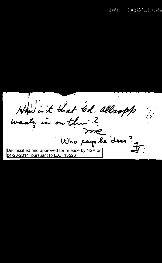How int that 6d. allesopp wants, in on the ? me Who pays be does? Declassified and approved for release by NSA on 04-28-2014 pursuant to E.O. 13526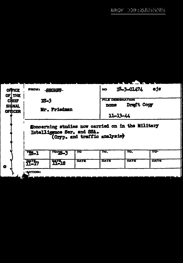|              | <b>OFFICE</b><br>OF THE | <b>FROM:</b><br>59 H X X<br><b>IS-3</b>                                                                           |              |      | TS-3-01474<br>ejs<br>NO. |            |             |  |
|--------------|-------------------------|-------------------------------------------------------------------------------------------------------------------|--------------|------|--------------------------|------------|-------------|--|
| <b>CHIEF</b> |                         |                                                                                                                   |              |      | <b>FILE DESIGNATION</b>  |            |             |  |
| SIGNAL       |                         |                                                                                                                   |              |      | none                     | Draft Copy |             |  |
|              | <b>OFFICER</b>          | Mr. Friedman                                                                                                      |              |      |                          |            |             |  |
|              |                         |                                                                                                                   |              |      | 11-13-44                 |            |             |  |
|              |                         | fioncerning studies now carried on in the Military<br>Intelligence Ser. and SSA.<br>(Cryp. and traffic analysist) |              |      |                          |            |             |  |
|              |                         | $T3 - 1$                                                                                                          | TO TE-3      | TO   | TO.                      | TO.        | <b>TO-</b>  |  |
| $\bullet$    |                         | <b>fili</b> y                                                                                                     | <b>YI-18</b> | DATE | DATE                     | DATE       | <b>DATE</b> |  |
|              |                         | <b>ACTION:</b>                                                                                                    |              |      |                          |            |             |  |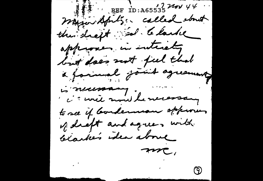REF ID: A65535 2200 44 mayor Aprilis: called stout the shept sel . Clarke approver in interesting but does not jul that a formul joint agreement is necessary. it will month he necessary to see if bordernon approven of deept and agrees with blackes idea above mc, (ඉ)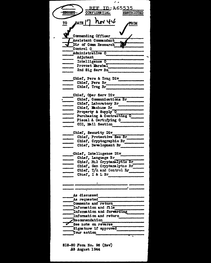| <u>REF ID:A65535</u>                                       |
|------------------------------------------------------------|
| <b>CONFIDENTIAL</b><br><b>RESTRICTED</b>                   |
|                                                            |
| $h_{\mathsf{N}}$ 44<br>date   <sup>l'</sup><br>TO          |
|                                                            |
|                                                            |
| Commanding Officer                                         |
| Assistant Commandant                                       |
| Dir of Comm Research<br>Control O                          |
| Administrative O                                           |
| Adjutant                                                   |
| Intelligence 0                                             |
| $Frouost$ Marshal                                          |
| 2nd Sig Serv Bn                                            |
|                                                            |
| Chief, Pers & Trng Div                                     |
| Chief, Pers Br                                             |
| Chief, Trng Br                                             |
| Chief, Oper Serv Div                                       |
| Chief. Communications Br                                   |
| Chief, Laboratory Br                                       |
| Chief, Machine Br                                          |
| Property & Supply 0                                        |
| Purchasing & Contracting O                                 |
| Fiscal & Certifying O                                      |
| OIC, Mail Section                                          |
| Chief, Security Div                                        |
| Chief, Protective Sec Br                                   |
| Chief, Cryptographic Br                                    |
| Chief, Development Br                                      |
|                                                            |
| Chief, Intelligence Div                                    |
| Chief, Language Br<br>Chief, Hil Cryptanalytic Br          |
|                                                            |
| Chief, Gen Cryptanalytic Br_<br>Chief, T/A and Control Br_ |
| Chief, I & L Br                                            |
|                                                            |
|                                                            |
|                                                            |
| As discussed                                               |
| As requested                                               |
| Comments and return                                        |
| Information and file                                       |
| Information and forwarding                                 |
| Information and return                                     |
| Recommendation                                             |
| See note on reverse                                        |
| Signature if approved                                      |
| <b>Your action</b>                                         |
|                                                            |
| SIS-SC Form No. 96 (Rev)                                   |
|                                                            |

23 August 1944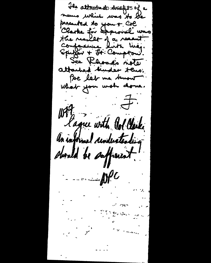The attracter descripts of a means which was to be presented to you + Col Clarke for approval was the readlest of a recent Comforance list liney.<br>Spitzer + Ft: Compton: See Khouse's note attached hunder tens. Poe let me buout What you wish done.  $-\frac{1}{\sqrt{2}}$ Wit lague with Orl Clerke On informal curdustenting should be sufficient!  $\sim 100$